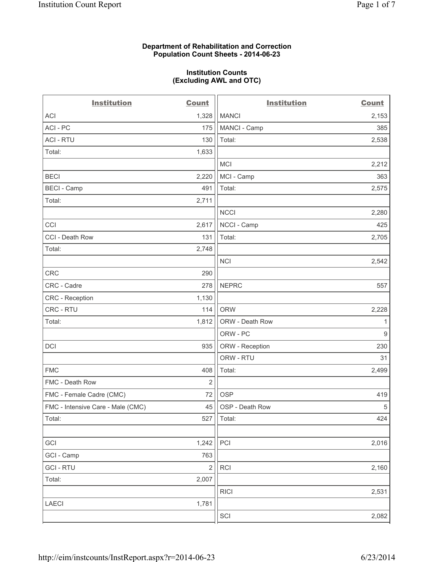## **Department of Rehabilitation and Correction Population Count Sheets - 2014-06-23**

#### **Institution Counts (Excluding AWL and OTC)**

| <b>Institution</b>                | <b>Count</b>   | <b>Institution</b> | <b>Count</b>   |
|-----------------------------------|----------------|--------------------|----------------|
| <b>ACI</b>                        | 1,328          | <b>MANCI</b>       | 2,153          |
| ACI - PC                          | 175            | MANCI - Camp       | 385            |
| <b>ACI - RTU</b>                  | 130            | Total:             | 2,538          |
| Total:                            | 1,633          |                    |                |
|                                   |                | <b>MCI</b>         | 2,212          |
| <b>BECI</b>                       | 2,220          | MCI - Camp         | 363            |
| <b>BECI</b> - Camp                | 491            | Total:             | 2,575          |
| Total:                            | 2,711          |                    |                |
|                                   |                | <b>NCCI</b>        | 2,280          |
| CCI                               | 2,617          | NCCI - Camp        | 425            |
| CCI - Death Row                   | 131            | Total:             | 2,705          |
| Total:                            | 2,748          |                    |                |
|                                   |                | <b>NCI</b>         | 2,542          |
| CRC                               | 290            |                    |                |
| CRC - Cadre                       | 278            | <b>NEPRC</b>       | 557            |
| CRC - Reception                   | 1,130          |                    |                |
| CRC - RTU                         | 114            | <b>ORW</b>         | 2,228          |
| Total:                            | 1,812          | ORW - Death Row    | 1              |
|                                   |                | ORW - PC           | $\overline{9}$ |
| <b>DCI</b>                        | 935            | ORW - Reception    | 230            |
|                                   |                | ORW - RTU          | 31             |
| <b>FMC</b>                        | 408            | Total:             | 2,499          |
| FMC - Death Row                   | 2              |                    |                |
| FMC - Female Cadre (CMC)          | 72             | <b>OSP</b>         | 419            |
| FMC - Intensive Care - Male (CMC) | 45             | OSP - Death Row    | $\sqrt{5}$     |
| Total:                            | 527            | Total:             | 424            |
|                                   |                |                    |                |
| GCI                               | 1,242          | PCI                | 2,016          |
| GCI - Camp                        | 763            |                    |                |
| <b>GCI-RTU</b>                    | $\overline{2}$ | RCI                | 2,160          |
| Total:                            | 2,007          |                    |                |
|                                   |                | <b>RICI</b>        | 2,531          |
| LAECI                             | 1,781          |                    |                |
|                                   |                | SCI                | 2,082          |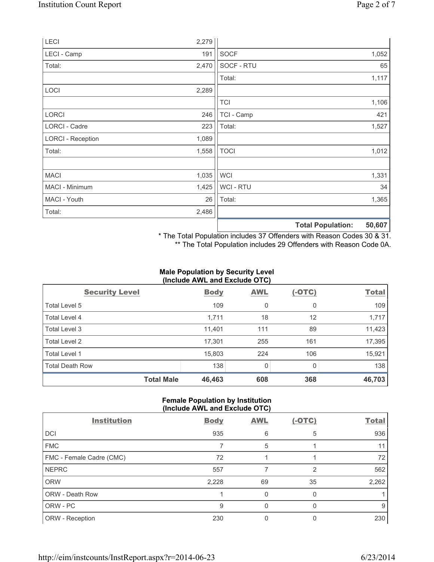| LECI                     | 2,279 |                |                          |        |
|--------------------------|-------|----------------|--------------------------|--------|
| LECI - Camp              | 191   | <b>SOCF</b>    |                          | 1,052  |
| Total:                   | 2,470 | SOCF - RTU     |                          | 65     |
|                          |       | Total:         |                          | 1,117  |
| LOCI                     | 2,289 |                |                          |        |
|                          |       | <b>TCI</b>     |                          | 1,106  |
| <b>LORCI</b>             | 246   | TCI - Camp     |                          | 421    |
| LORCI - Cadre            | 223   | Total:         |                          | 1,527  |
| <b>LORCI - Reception</b> | 1,089 |                |                          |        |
| Total:                   | 1,558 | <b>TOCI</b>    |                          | 1,012  |
|                          |       |                |                          |        |
| <b>MACI</b>              | 1,035 | <b>WCI</b>     |                          | 1,331  |
| MACI - Minimum           | 1,425 | <b>WCI-RTU</b> |                          | 34     |
| MACI - Youth             | 26    | Total:         |                          | 1,365  |
| Total:                   | 2,486 |                |                          |        |
|                          |       |                | <b>Total Population:</b> | 50,607 |

\* The Total Population includes 37 Offenders with Reason Codes 30 & 31.

\*\* The Total Population includes 29 Offenders with Reason Code 0A.

## **Male Population by Security Level (Include AWL and Exclude OTC)**

| $\frac{1}{2}$          |             |            |          |              |  |  |
|------------------------|-------------|------------|----------|--------------|--|--|
| <b>Security Level</b>  | <b>Body</b> | <b>AWL</b> | $(-OTC)$ | <b>Total</b> |  |  |
| Total Level 5          | 109         | 0          | 0        | 109          |  |  |
| Total Level 4          | 1,711       | 18         | 12       | 1,717        |  |  |
| Total Level 3          | 11,401      | 111        | 89       | 11,423       |  |  |
| Total Level 2          | 17,301      | 255        | 161      | 17,395       |  |  |
| Total Level 1          | 15,803      | 224        | 106      | 15,921       |  |  |
| <b>Total Death Row</b> | 138         | 0          | 0        | 138          |  |  |
| <b>Total Male</b>      | 46,463      | 608        | 368      | 46,703       |  |  |

# **Female Population by Institution (Include AWL and Exclude OTC)**

| <b>Institution</b>       | <b>Body</b> | <b>AWL</b> | $(-OTC)$ | <b>Total</b> |
|--------------------------|-------------|------------|----------|--------------|
| <b>DCI</b>               | 935         | 6          | 5        | 936          |
| <b>FMC</b>               |             | 5          |          | 11           |
| FMC - Female Cadre (CMC) | 72          |            |          | 72           |
| <b>NEPRC</b>             | 557         |            | 2        | 562          |
| <b>ORW</b>               | 2,228       | 69         | 35       | 2,262        |
| ORW - Death Row          |             | 0          |          |              |
| ORW - PC                 | 9           | 0          | O        | 9            |
| ORW - Reception          | 230         |            |          | 230          |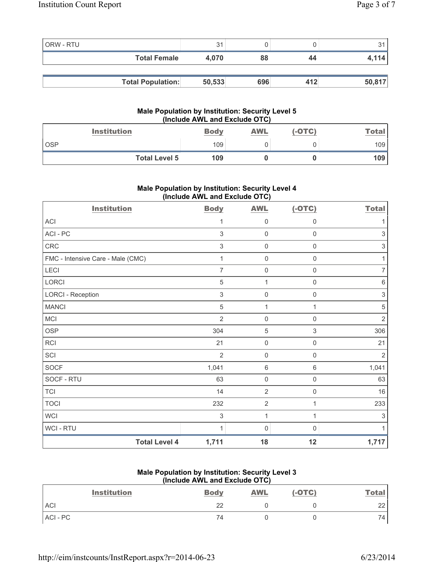| ORW - RTU |                          | 31     |     |     |        |
|-----------|--------------------------|--------|-----|-----|--------|
|           | <b>Total Female</b>      | 4.070  | 88  | 44  | 4.114  |
|           |                          |        |     |     |        |
|           | <b>Total Population:</b> | 50,533 | 696 | 412 | 50,817 |

#### **Male Population by Institution: Security Level 5 (Include AWL and Exclude OTC)**

| <b>Institution</b>   | <b>Body</b> | <u>AWL</u> | $(-OTC)$ | <b>Total</b> |
|----------------------|-------------|------------|----------|--------------|
| <b>OSP</b>           | 109         |            |          | 109          |
| <b>Total Level 5</b> | 109         |            |          | 109          |

# **Male Population by Institution: Security Level 4 (Include AWL and Exclude OTC)**

| <b>Institution</b>                | <b>Body</b>               | <b>AWL</b>          | $(-OTC)$            | <b>Total</b>              |
|-----------------------------------|---------------------------|---------------------|---------------------|---------------------------|
| <b>ACI</b>                        | 1                         | 0                   | 0                   | 1                         |
| ACI-PC                            | $\sqrt{3}$                | $\mathsf{O}\xspace$ | $\mathsf{O}\xspace$ | $\sqrt{3}$                |
| CRC                               | $\ensuremath{\mathsf{3}}$ | 0                   | 0                   | $\ensuremath{\mathsf{3}}$ |
| FMC - Intensive Care - Male (CMC) | 1                         | 0                   | 0                   | 1                         |
| LECI                              | $\overline{7}$            | $\mathsf{O}\xspace$ | $\mathsf{O}\xspace$ | $\overline{7}$            |
| LORCI                             | $\sqrt{5}$                | $\mathbf{1}$        | 0                   | 6                         |
| <b>LORCI - Reception</b>          | 3                         | 0                   | $\mathbf 0$         | $\sqrt{3}$                |
| <b>MANCI</b>                      | $\overline{5}$            | $\mathbf{1}$        | 1                   | $\sqrt{5}$                |
| <b>MCI</b>                        | $\overline{2}$            | $\mathsf{O}\xspace$ | $\boldsymbol{0}$    | $\sqrt{2}$                |
| <b>OSP</b>                        | 304                       | 5                   | 3                   | 306                       |
| RCI                               | 21                        | $\mathbf 0$         | $\mathbf 0$         | 21                        |
| SCI                               | $\overline{2}$            | 0                   | $\mathbf 0$         | $\overline{2}$            |
| <b>SOCF</b>                       | 1,041                     | 6                   | 6                   | 1,041                     |
| SOCF - RTU                        | 63                        | $\mathsf{O}\xspace$ | $\mathsf{O}\xspace$ | 63                        |
| <b>TCI</b>                        | 14                        | $\overline{2}$      | $\mathsf{0}$        | 16                        |
| <b>TOCI</b>                       | 232                       | $\sqrt{2}$          | 1                   | 233                       |
| <b>WCI</b>                        | $\sqrt{3}$                | $\mathbf{1}$        | 1                   | $\ensuremath{\mathsf{3}}$ |
| WCI - RTU                         | 1                         | $\mathbf 0$         | 0                   | 1                         |
| <b>Total Level 4</b>              | 1,711                     | 18                  | 12                  | 1,717                     |

## **Male Population by Institution: Security Level 3 (Include AWL and Exclude OTC)**

| <b>Institution</b> | <b>Body</b> | <b>AWL</b> | $(-OTC)$ | <b>Total</b>    |
|--------------------|-------------|------------|----------|-----------------|
| ACI                | 22          |            |          | 22              |
| ACI-PC             | 74          |            |          | 74 <sub>1</sub> |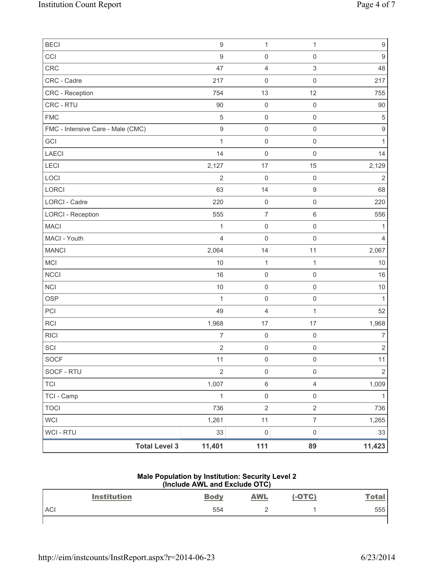| <b>Total Level 3</b>              | 11,401           | 111                 | 89                  | 11,423           |
|-----------------------------------|------------------|---------------------|---------------------|------------------|
| WCI - RTU                         | 33               | $\mathsf{O}\xspace$ | $\mathsf{O}\xspace$ | 33               |
| <b>WCI</b>                        | 1,261            | 11                  | $\overline{7}$      | 1,265            |
| <b>TOCI</b>                       | 736              | $\mathbf 2$         | $\overline{2}$      | 736              |
| TCI - Camp                        | $\mathbf{1}$     | $\mathsf{O}\xspace$ | $\mathsf{O}\xspace$ | $\mathbf{1}$     |
| <b>TCI</b>                        | 1,007            | $\,6\,$             | $\overline{4}$      | 1,009            |
| SOCF - RTU                        | $\sqrt{2}$       | $\mathsf{O}\xspace$ | $\mathsf{O}\xspace$ | $\sqrt{2}$       |
| <b>SOCF</b>                       | 11               | $\,0\,$             | 0                   | 11               |
| SCI                               | $\overline{2}$   | $\mathbf 0$         | 0                   | $\sqrt{2}$       |
| <b>RICI</b>                       | $\overline{7}$   | $\mathsf 0$         | $\mathsf 0$         | $\overline{7}$   |
| <b>RCI</b>                        | 1,968            | 17                  | 17                  | 1,968            |
| PCI                               | 49               | $\overline{4}$      | $\mathbf{1}$        | 52               |
| <b>OSP</b>                        | 1                | $\mathbf 0$         | $\mathsf 0$         | $\mathbf{1}$     |
| NCI                               | $10$             | $\mathsf 0$         | $\mathsf{O}\xspace$ | $10$             |
| <b>NCCI</b>                       | 16               | $\mathsf{O}\xspace$ | $\mathsf{O}\xspace$ | 16               |
| <b>MCI</b>                        | 10               | $\mathbf{1}$        | 1                   | $10$             |
| <b>MANCI</b>                      | 2,064            | 14                  | 11                  | 2,067            |
| MACI - Youth                      | $\overline{4}$   | $\mathsf{O}\xspace$ | $\mathsf 0$         | $\overline{4}$   |
| <b>MACI</b>                       | 1                | $\mathsf{O}\xspace$ | $\mathsf{O}\xspace$ | 1                |
| <b>LORCI - Reception</b>          | 555              | $\boldsymbol{7}$    | 6                   | 556              |
| LORCI - Cadre                     | 220              | $\mathsf 0$         | $\mathsf{O}\xspace$ | 220              |
| LORCI                             | 63               | 14                  | $\boldsymbol{9}$    | 68               |
| LOCI                              | $\overline{2}$   | $\mathbf 0$         | $\mathsf{O}\xspace$ | $\sqrt{2}$       |
| LECI                              | 2,127            | 17                  | 15                  | 2,129            |
| <b>LAECI</b>                      | 14               | $\mathbf 0$         | $\mathsf{O}\xspace$ | 14               |
| GCI                               | $\mathbf{1}$     | $\mathsf 0$         | $\mathsf{O}\xspace$ | $\mathbf{1}$     |
| FMC - Intensive Care - Male (CMC) | 9                | $\mathsf{O}\xspace$ | $\mathsf 0$         | $\mathsf g$      |
| <b>FMC</b>                        | $\sqrt{5}$       | $\mathsf 0$         | $\mathsf{O}\xspace$ | $\,$ 5 $\,$      |
| CRC - RTU                         | 90               | $\mathbf 0$         | $\mathbf 0$         | $90\,$           |
| CRC - Reception                   | 754              | 13                  | 12                  | 755              |
| CRC - Cadre                       | 217              | $\mathbf 0$         | $\mathsf{O}\xspace$ | 217              |
| CRC                               | 47               | $\overline{4}$      | 3                   | 48               |
| CCI                               | $\boldsymbol{9}$ | $\mathsf{O}\xspace$ | $\mathsf{O}\xspace$ | $\boldsymbol{9}$ |
| <b>BECI</b>                       | $\hbox{9}$       | $\mathbf{1}$        | 1                   | $\boldsymbol{9}$ |

#### **Male Population by Institution: Security Level 2 (Include AWL and Exclude OTC)**

|            | <b>Institution</b> | <b>Body</b> | <b>AWL</b> | $(-OTC)$ | <u>Total</u> |
|------------|--------------------|-------------|------------|----------|--------------|
| <b>ACI</b> |                    | 554         |            |          | 555          |
|            |                    |             |            |          |              |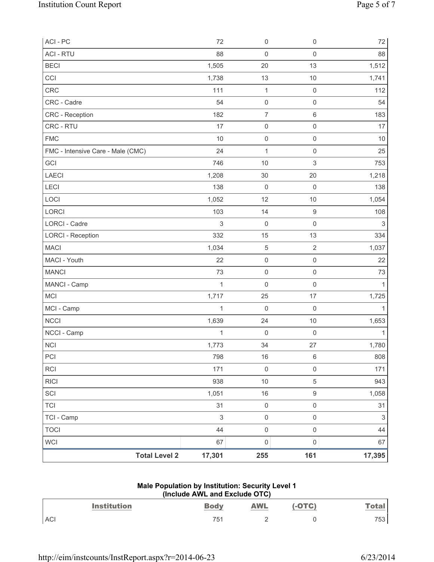| ACI - PC                          | 72           | $\mathsf{O}\xspace$ | $\mathsf{O}\xspace$       | 72                        |
|-----------------------------------|--------------|---------------------|---------------------------|---------------------------|
| <b>ACI - RTU</b>                  | 88           | $\mathsf{O}\xspace$ | $\mathsf{O}\xspace$       | 88                        |
| <b>BECI</b>                       | 1,505        | 20                  | 13                        | 1,512                     |
| CCI                               | 1,738        | 13                  | 10                        | 1,741                     |
| CRC                               | 111          | $\mathbf 1$         | $\mathsf 0$               | 112                       |
| CRC - Cadre                       | 54           | $\mathsf{O}\xspace$ | $\mathsf 0$               | 54                        |
| <b>CRC</b> - Reception            | 182          | $\overline{7}$      | $\,6$                     | 183                       |
| CRC - RTU                         | 17           | $\mathsf{O}\xspace$ | $\mathsf{O}\xspace$       | 17                        |
| <b>FMC</b>                        | 10           | $\mathsf{O}\xspace$ | $\mathsf 0$               | $10$                      |
| FMC - Intensive Care - Male (CMC) | 24           | $\mathbf{1}$        | $\mathsf{O}\xspace$       | 25                        |
| GCI                               | 746          | 10                  | $\ensuremath{\mathsf{3}}$ | 753                       |
| <b>LAECI</b>                      | 1,208        | 30                  | 20                        | 1,218                     |
| LECI                              | 138          | $\mathbf 0$         | $\mathbf 0$               | 138                       |
| LOCI                              | 1,052        | 12                  | 10                        | 1,054                     |
| LORCI                             | 103          | 14                  | $\boldsymbol{9}$          | 108                       |
| LORCI - Cadre                     | $\sqrt{3}$   | $\mathsf 0$         | $\mathsf{O}\xspace$       | $\ensuremath{\mathsf{3}}$ |
| <b>LORCI - Reception</b>          | 332          | 15                  | 13                        | 334                       |
| <b>MACI</b>                       | 1,034        | $\sqrt{5}$          | $\overline{2}$            | 1,037                     |
| MACI - Youth                      | 22           | $\mathsf{O}\xspace$ | $\mathsf{O}\xspace$       | 22                        |
| <b>MANCI</b>                      | 73           | $\mathsf{O}\xspace$ | $\mathsf 0$               | 73                        |
| MANCI - Camp                      | $\mathbf{1}$ | $\mathsf{O}\xspace$ | $\mathsf{O}\xspace$       | $\mathbf{1}$              |
| MCI                               | 1,717        | 25                  | 17                        | 1,725                     |
| MCI - Camp                        | $\mathbf 1$  | 0                   | $\mathbf 0$               | $\mathbf{1}$              |
| <b>NCCI</b>                       | 1,639        | 24                  | 10                        | 1,653                     |
| NCCI - Camp                       | $\mathbf{1}$ | $\mathsf{O}\xspace$ | $\mathsf 0$               | $\mathbf{1}$              |
| <b>NCI</b>                        | 1,773        | 34                  | 27                        | 1,780                     |
| PCI                               | 798          | 16                  | 6                         | 808                       |
| <b>RCI</b>                        | 171          | $\mathsf{O}\xspace$ | $\mathsf{O}\xspace$       | 171                       |
| <b>RICI</b>                       | 938          | $10$                | 5                         | 943                       |
| SCI                               | 1,051        | 16                  | 9                         | 1,058                     |
| <b>TCI</b>                        | 31           | $\mathsf{O}\xspace$ | $\mathsf{O}\xspace$       | 31                        |
| TCI - Camp                        | $\mathsf 3$  | $\mathsf{O}\xspace$ | $\mathsf 0$               | $\sqrt{3}$                |
| <b>TOCI</b>                       | 44           | $\mathsf{O}\xspace$ | $\mathsf 0$               | 44                        |
| <b>WCI</b>                        | 67           | $\mathsf{O}\xspace$ | $\mathsf{O}\xspace$       | 67                        |
| <b>Total Level 2</b>              | 17,301       | 255                 | 161                       | 17,395                    |

# **Male Population by Institution: Security Level 1 (Include AWL and Exclude OTC)**

|            | <b>Institution</b> | <b>Body</b> | <b>AWL</b> | $(-OTC)$ | <b>Total</b> |
|------------|--------------------|-------------|------------|----------|--------------|
| <b>ACI</b> |                    | フ斥<br>◡     | -          |          | 753          |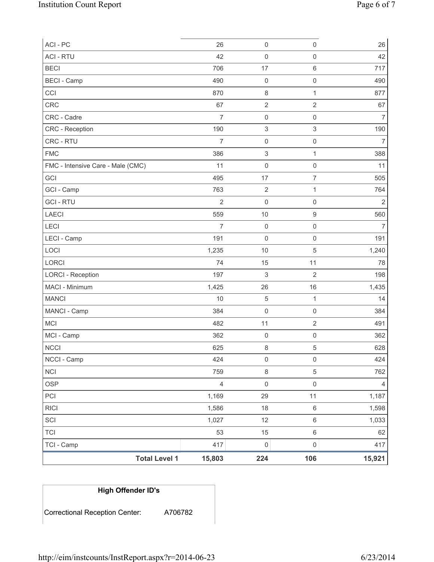| ACI - PC                          | 26             | $\mathsf{O}\xspace$       | $\mathsf{O}\xspace$ | 26             |
|-----------------------------------|----------------|---------------------------|---------------------|----------------|
| <b>ACI - RTU</b>                  | 42             | $\mathbf 0$               | $\mathsf{O}\xspace$ | 42             |
| <b>BECI</b>                       | 706            | 17                        | 6                   | 717            |
| <b>BECI</b> - Camp                | 490            | $\mathsf 0$               | $\mathsf{O}\xspace$ | 490            |
| CCI                               | 870            | $\,8\,$                   | $\mathbf{1}$        | 877            |
| CRC                               | 67             | $\overline{2}$            | $\overline{2}$      | 67             |
| CRC - Cadre                       | $\overline{7}$ | $\mathsf 0$               | $\mathsf{O}\xspace$ | $\overline{7}$ |
| CRC - Reception                   | 190            | $\ensuremath{\mathsf{3}}$ | 3                   | 190            |
| CRC - RTU                         | $\overline{7}$ | $\mathsf 0$               | $\mathsf{O}\xspace$ | $\overline{7}$ |
| <b>FMC</b>                        | 386            | $\,$ 3 $\,$               | $\mathbf{1}$        | 388            |
| FMC - Intensive Care - Male (CMC) | 11             | $\mathsf 0$               | $\mathsf{O}\xspace$ | 11             |
| GCI                               | 495            | 17                        | $\overline{7}$      | 505            |
| GCI - Camp                        | 763            | $\sqrt{2}$                | $\mathbf{1}$        | 764            |
| <b>GCI-RTU</b>                    | $\overline{2}$ | $\mathsf 0$               | $\mathsf 0$         | $\overline{2}$ |
| <b>LAECI</b>                      | 559            | $10$                      | $\boldsymbol{9}$    | 560            |
| LECI                              | $\overline{7}$ | $\mathbf 0$               | $\mathsf{O}\xspace$ | $\overline{7}$ |
| LECI - Camp                       | 191            | 0                         | $\mathsf{O}\xspace$ | 191            |
| LOCI                              | 1,235          | 10                        | $\,$ 5 $\,$         | 1,240          |
| LORCI                             | 74             | 15                        | 11                  | 78             |
| <b>LORCI - Reception</b>          | 197            | $\ensuremath{\mathsf{3}}$ | $\overline{2}$      | 198            |
| MACI - Minimum                    | 1,425          | 26                        | 16                  | 1,435          |
| <b>MANCI</b>                      | 10             | $\,$ 5 $\,$               | $\mathbf{1}$        | 14             |
| MANCI - Camp                      | 384            | $\mathsf 0$               | $\mathsf{O}\xspace$ | 384            |
| <b>MCI</b>                        | 482            | 11                        | $\overline{2}$      | 491            |
| MCI - Camp                        | 362            | $\mathsf 0$               | $\mathsf 0$         | 362            |
| <b>NCCI</b>                       | 625            | 8                         | 5                   | 628            |
| NCCI - Camp                       | 424            | 0                         | 0                   | 424            |
| <b>NCI</b>                        | 759            | $\,8\,$                   | 5                   | 762            |
| <b>OSP</b>                        | $\overline{4}$ | $\mathsf 0$               | $\mathsf{O}\xspace$ | 4              |
| PCI                               | 1,169          | 29                        | 11                  | 1,187          |
| <b>RICI</b>                       | 1,586          | 18                        | 6                   | 1,598          |
| SCI                               | 1,027          | 12                        | 6                   | 1,033          |
| <b>TCI</b>                        | 53             | 15                        | 6                   | 62             |
| TCI - Camp                        | 417            | $\mathsf{O}\xspace$       | $\mathsf{O}\xspace$ | 417            |
| <b>Total Level 1</b>              | 15,803         | 224                       | 106                 | 15,921         |

# **High Offender ID's**

Correctional Reception Center: A706782